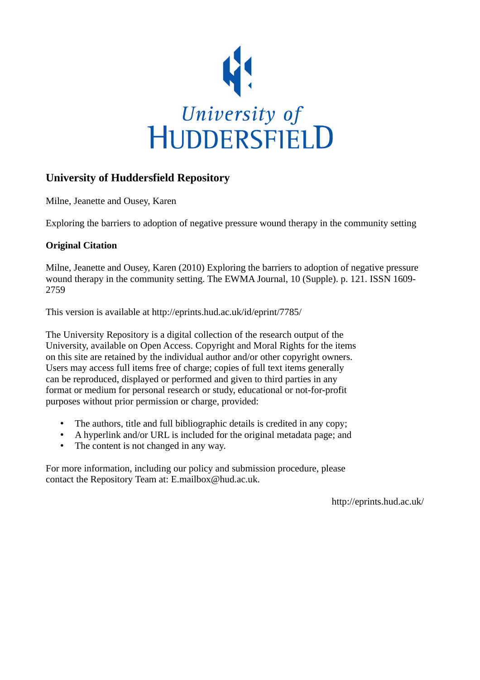

## **University of Huddersfield Repository**

Milne, Jeanette and Ousey, Karen

Exploring the barriers to adoption of negative pressure wound therapy in the community setting

## **Original Citation**

Milne, Jeanette and Ousey, Karen (2010) Exploring the barriers to adoption of negative pressure wound therapy in the community setting. The EWMA Journal, 10 (Supple). p. 121. ISSN 1609- 2759

This version is available at http://eprints.hud.ac.uk/id/eprint/7785/

The University Repository is a digital collection of the research output of the University, available on Open Access. Copyright and Moral Rights for the items on this site are retained by the individual author and/or other copyright owners. Users may access full items free of charge; copies of full text items generally can be reproduced, displayed or performed and given to third parties in any format or medium for personal research or study, educational or not-for-profit purposes without prior permission or charge, provided:

- The authors, title and full bibliographic details is credited in any copy;
- A hyperlink and/or URL is included for the original metadata page; and
- The content is not changed in any way.

For more information, including our policy and submission procedure, please contact the Repository Team at: E.mailbox@hud.ac.uk.

http://eprints.hud.ac.uk/